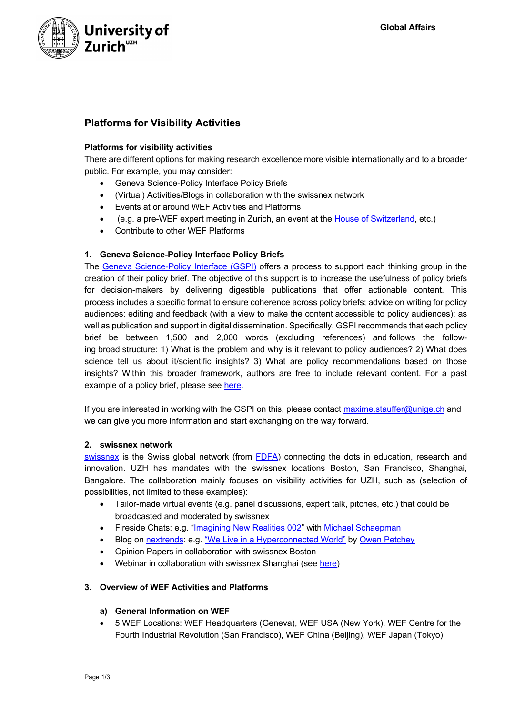

# **Platforms for Visibility Activities**

## **Platforms for visibility activities**

There are different options for making research excellence more visible internationally and to a broader public. For example, you may consider:

- Geneva Science-Policy Interface Policy Briefs
- (Virtual) Activities/Blogs in collaboration with the swissnex network
- Events at or around WEF Activities and Platforms
- (e.g. a pre-WEF expert meeting in Zurich, an event at the House of Switzerland, etc.)
- Contribute to other WEF Platforms

## **1. Geneva Science-Policy Interface Policy Briefs**

The Geneva Science-Policy Interface (GSPI) offers a process to support each thinking group in the creation of their policy brief. The objective of this support is to increase the usefulness of policy briefs for decision-makers by delivering digestible publications that offer actionable content. This process includes a specific format to ensure coherence across policy briefs; advice on writing for policy audiences; editing and feedback (with a view to make the content accessible to policy audiences); as well as publication and support in digital dissemination. Specifically, GSPI recommends that each policy brief be between 1,500 and 2,000 words (excluding references) and follows the following broad structure: 1) What is the problem and why is it relevant to policy audiences? 2) What does science tell us about it/scientific insights? 3) What are policy recommendations based on those insights? Within this broader framework, authors are free to include relevant content. For a past example of a policy brief, please see here.

If you are interested in working with the GSPI on this, please contact maxime.stauffer@unige.ch and we can give you more information and start exchanging on the way forward.

## **2. swissnex network**

swissnex is the Swiss global network (from FDFA) connecting the dots in education, research and innovation. UZH has mandates with the swissnex locations Boston, San Francisco, Shanghai, Bangalore. The collaboration mainly focuses on visibility activities for UZH, such as (selection of possibilities, not limited to these examples):

- Tailor-made virtual events (e.g. panel discussions, expert talk, pitches, etc.) that could be broadcasted and moderated by swissnex
- Fireside Chats: e.g. "Imagining New Realities 002" with Michael Schaepman
- Blog on nextrends: e.g. "We Live in a Hyperconnected World" by Owen Petchey
- Opinion Papers in collaboration with swissnex Boston
- Webinar in collaboration with swissnex Shanghai (see here)

# **3. Overview of WEF Activities and Platforms**

## **a) General Information on WEF**

• 5 WEF Locations: WEF Headquarters (Geneva), WEF USA (New York), WEF Centre for the Fourth Industrial Revolution (San Francisco), WEF China (Beijing), WEF Japan (Tokyo)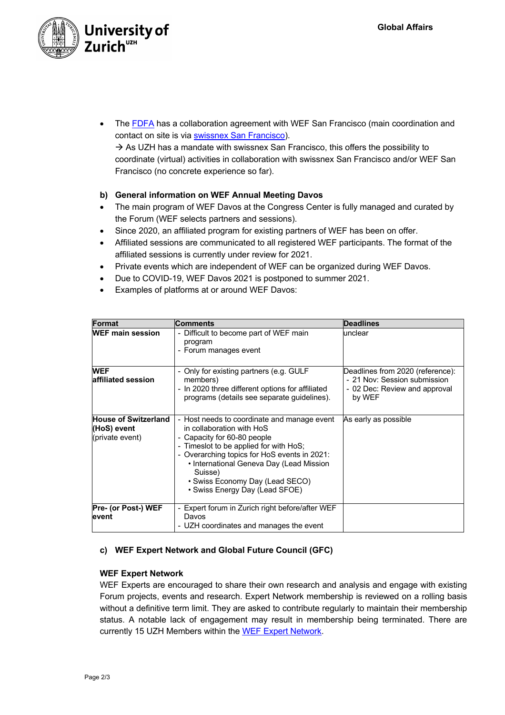

The FDFA has a collaboration agreement with WEF San Francisco (main coordination and contact on site is via swissnex San Francisco).

 $\rightarrow$  As UZH has a mandate with swissnex San Francisco, this offers the possibility to coordinate (virtual) activities in collaboration with swissnex San Francisco and/or WEF San Francisco (no concrete experience so far).

# **b) General information on WEF Annual Meeting Davos**

- The main program of WEF Davos at the Congress Center is fully managed and curated by the Forum (WEF selects partners and sessions).
- Since 2020, an affiliated program for existing partners of WEF has been on offer.
- Affiliated sessions are communicated to all registered WEF participants. The format of the affiliated sessions is currently under review for 2021.
- Private events which are independent of WEF can be organized during WEF Davos.
- Due to COVID-19, WEF Davos 2021 is postponed to summer 2021.
- Examples of platforms at or around WEF Davos:

| <b>Format</b>                                                 | <b>Comments</b>                                                                                                                                                                                                                                                                                                               | <b>Deadlines</b>                                                                                            |
|---------------------------------------------------------------|-------------------------------------------------------------------------------------------------------------------------------------------------------------------------------------------------------------------------------------------------------------------------------------------------------------------------------|-------------------------------------------------------------------------------------------------------------|
| <b>WEF main session</b>                                       | - Difficult to become part of WEF main<br>program<br>- Forum manages event                                                                                                                                                                                                                                                    | unclear                                                                                                     |
| <b>WEF</b><br>affiliated session                              | - Only for existing partners (e.g. GULF<br>members)<br>- In 2020 three different options for affiliated<br>programs (details see separate guidelines).                                                                                                                                                                        | Deadlines from 2020 (reference):<br>- 21 Nov: Session submission<br>- 02 Dec: Review and approval<br>by WEF |
| <b>House of Switzerland</b><br>(HoS) event<br>(private event) | - Host needs to coordinate and manage event<br>in collaboration with HoS<br>- Capacity for 60-80 people<br>- Timeslot to be applied for with HoS;<br>- Overarching topics for HoS events in 2021:<br>• International Geneva Day (Lead Mission<br>Suisse)<br>• Swiss Economy Day (Lead SECO)<br>• Swiss Energy Day (Lead SFOE) | As early as possible                                                                                        |
| Pre- (or Post-) WEF<br>event                                  | - Expert forum in Zurich right before/after WEF<br>Davos<br>- UZH coordinates and manages the event                                                                                                                                                                                                                           |                                                                                                             |

## **c) WEF Expert Network and Global Future Council (GFC)**

## **WEF Expert Network**

WEF Experts are encouraged to share their own research and analysis and engage with existing Forum projects, events and research. Expert Network membership is reviewed on a rolling basis without a definitive term limit. They are asked to contribute regularly to maintain their membership status. A notable lack of engagement may result in membership being terminated. There are currently 15 UZH Members within the WEF Expert Network.